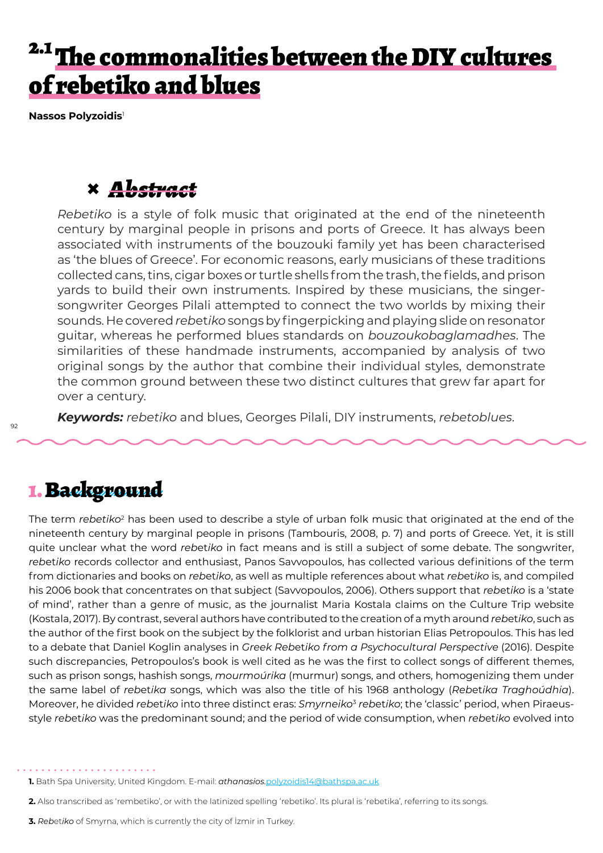# <sup>2.1</sup> The commonalities between the DIY cultures of rebetiko and blues

**Nassos Polyzoidis**<sup>1</sup>

## **×** *Abstract*

*Rebetiko* is a style of folk music that originated at the end of the nineteenth century by marginal people in prisons and ports of Greece. It has always been associated with instruments of the bouzouki family yet has been characterised as 'the blues of Greece'. For economic reasons, early musicians of these traditions collected cans, tins, cigar boxes or turtle shells from the trash, the fields, and prison yards to build their own instruments. Inspired by these musicians, the singersongwriter Georges Pilali attempted to connect the two worlds by mixing their sounds. He covered *reb*et*iko* songs by fingerpicking and playing slide on resonator guitar, whereas he performed blues standards on *bouzoukobaglamadhes*. The similarities of these handmade instruments, accompanied by analysis of two original songs by the author that combine their individual styles, demonstrate the common ground between these two distinct cultures that grew far apart for over a century.

*Keywords: rebetiko* and blues, Georges Pilali, DIY instruments, *rebetoblues*.

### 1. Background

The term *rebetiko*<sup>2</sup> has been used to describe a style of urban folk music that originated at the end of the nineteenth century by marginal people in prisons (Tambouris, 2008, p. 7) and ports of Greece. Yet, it is still quite unclear what the word *reb*et*iko* in fact means and is still a subject of some debate. The songwriter, *reb*et*iko* records collector and enthusiast, Panos Savvopoulos, has collected various definitions of the term from dictionaries and books on *reb*et*iko*, as well as multiple references about what *reb*et*iko* is, and compiled his 2006 book that concentrates on that subject (Savvopoulos, 2006). Others support that *reb*et*iko* is a 'state of mind', rather than a genre of music, as the journalist Maria Kostala claims on the Culture Trip website (Kostala, 2017). By contrast, several authors have contributed to the creation of a myth around *reb*et*iko*, such as the author of the first book on the subject by the folklorist and urban historian Elias Petropoulos. This has led to a debate that Daniel Koglin analyses in *Greek Reb*et*iko from a Psychocultural Perspective* (2016). Despite such discrepancies, Petropoulos's book is well cited as he was the first to collect songs of different themes, such as prison songs, hashish songs, *mourmoúrika* (murmur) songs, and others, homogenizing them under the same label of *reb*et*ika* songs, which was also the title of his 1968 anthology (*Reb*et*ika Traghoúdhia*). Moreover, he divided *reb*et*iko* into three distinct eras: *Smyrneiko*<sup>3</sup> *reb*et*iko*; the 'classic' period, when Piraeusstyle *reb*et*iko* was the predominant sound; and the period of wide consumption, when *reb*et*iko* evolved into

**3.** *Reb*et*iko* of Smyrna, which is currently the city of İzmir in Turkey.

. . . . . . . . . . . . . . .

**<sup>1.</sup>** Bath Spa University, United Kingdom. E-mail: *athanasios.*polyzoidis14@bathspa.ac.uk

**<sup>2.</sup>** Also transcribed as 'rembetiko', or with the latinized spelling 'rebetiko'. Its plural is 'rebetika', referring to its songs.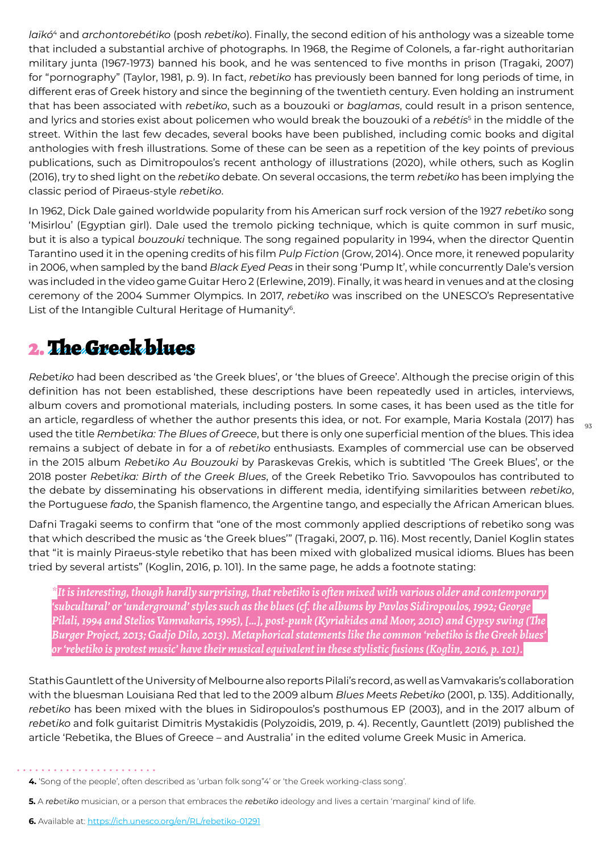*laïkó*4 and *archontorebétiko* (posh *reb*et*iko*). Finally, the second edition of his anthology was a sizeable tome that included a substantial archive of photographs. In 1968, the Regime of Colonels, a far-right authoritarian military junta (1967-1973) banned his book, and he was sentenced to five months in prison (Tragaki, 2007) for "pornography" (Taylor, 1981, p. 9). In fact, *reb*et*iko* has previously been banned for long periods of time, in different eras of Greek history and since the beginning of the twentieth century. Even holding an instrument that has been associated with *reb*et*iko*, such as a bouzouki or *baglamas*, could result in a prison sentence, and lyrics and stories exist about policemen who would break the bouzouki of a *rebétis*<sup>s</sup> in the middle of the street. Within the last few decades, several books have been published, including comic books and digital anthologies with fresh illustrations. Some of these can be seen as a repetition of the key points of previous publications, such as Dimitropoulos's recent anthology of illustrations (2020), while others, such as Koglin (2016), try to shed light on the *reb*et*iko* debate. On several occasions, the term *reb*et*iko* has been implying the classic period of Piraeus-style *reb*et*iko*.

In 1962, Dick Dale gained worldwide popularity from his American surf rock version of the 1927 *reb*et*iko* song 'Misirlou' (Egyptian girl). Dale used the tremolo picking technique, which is quite common in surf music, but it is also a typical *bouzouki* technique. The song regained popularity in 1994, when the director Quentin Tarantino used it in the opening credits of his film *Pulp Fiction* (Grow, 2014). Once more, it renewed popularity in 2006, when sampled by the band *Black Eyed Peas* in their song 'Pump It', while concurrently Dale's version was included in the video game Guitar Hero 2 (Erlewine, 2019). Finally, it was heard in venues and at the closing ceremony of the 2004 Summer Olympics. In 2017, *reb*et*iko* was inscribed on the UNESCO's Representative List of the Intangible Cultural Heritage of Humanity<sup>6</sup>.

## 2. The Greek blues

*Reb*et*iko* had been described as 'the Greek blues', or 'the blues of Greece'. Although the precise origin of this definition has not been established, these descriptions have been repeatedly used in articles, interviews, album covers and promotional materials, including posters. In some cases, it has been used as the title for an article, regardless of whether the author presents this idea, or not. For example, Maria Kostala (2017) has used the title *Remb*et*ika: The Blues of Greece*, but there is only one superficial mention of the blues. This idea remains a subject of debate in for a of *reb*et*iko* enthusiasts. Examples of commercial use can be observed in the 2015 album *Reb*et*iko Au Bouzouki* by Paraskevas Grekis, which is subtitled 'The Greek Blues', or the 2018 poster *Reb*et*ika: Birth of the Greek Blues*, of the Greek Rebetiko Trio. Savvopoulos has contributed to the debate by disseminating his observations in different media, identifying similarities between *reb*et*iko*, the Portuguese *fado*, the Spanish flamenco, the Argentine tango, and especially the African American blues.

Dafni Tragaki seems to confirm that "one of the most commonly applied descriptions of rebetiko song was that which described the music as 'the Greek blues'" (Tragaki, 2007, p. 116). Most recently, Daniel Koglin states that "it is mainly Piraeus-style rebetiko that has been mixed with globalized musical idioms. Blues has been tried by several artists" (Koglin, 2016, p. 101). In the same page, he adds a footnote stating:

*\*It is interesting, though hardly surprising, that rebetiko is often mixed with various older and contemporary 'subcultural' or 'underground' styles such as the blues (cf. the albums by Pavlos Sidiropoulos, 1992; George Pilali, 1994 and Stelios Vamvakaris, 1995), […], post-punk (Kyriakides and Moor, 2010) and Gypsy swing (The Burger Project, 2013; Gadjo Dilo, 2013). Metaphorical statements like the common 'rebetiko is the Greek blues' or 'rebetiko is protest music' have their musical equivalent in these stylistic fusions (Koglin, 2016, p. 101).*

Stathis Gauntlett of the University of Melbourne also reports Pilali's record, as well as Vamvakaris's collaboration with the bluesman Louisiana Red that led to the 2009 album *Blues Me*et*s Reb*et*iko* (2001, p. 135). Additionally, *reb*et*iko* has been mixed with the blues in Sidiropoulos's posthumous EP (2003), and in the 2017 album of *reb*et*iko* and folk guitarist Dimitris Mystakidis (Polyzoidis, 2019, p. 4). Recently, Gauntlett (2019) published the article 'Rebetika, the Blues of Greece – and Australia' in the edited volume Greek Music in America.

**5.** A *reb*et*iko* musician, or a person that embraces the *reb*et*iko* ideology and lives a certain 'marginal' kind of life.

. . . . . . . . . . . . .

**<sup>4.</sup>** 'Song of the people', often described as 'urban folk song"4' or 'the Greek working-class song'.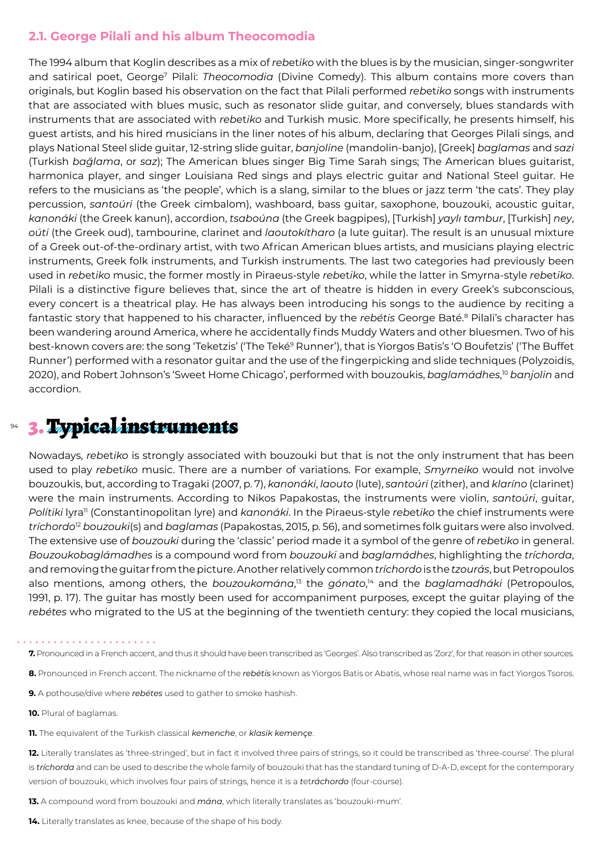#### **2.1. George Pilali and his album Theocomodia**

The 1994 album that Koglin describes as a mix of *reb*et*iko* with the blues is by the musician, singer-songwriter and satirical poet, George<sup>7</sup> Pilali: *Theocomodia* (Divine Comedy). This album contains more covers than originals, but Koglin based his observation on the fact that Pilali performed *reb*et*iko* songs with instruments that are associated with blues music, such as resonator slide guitar, and conversely, blues standards with instruments that are associated with *reb*et*iko* and Turkish music. More specifically, he presents himself, his guest artists, and his hired musicians in the liner notes of his album, declaring that Georges Pilali sings, and plays National Steel slide guitar, 12-string slide guitar, *banjoline* (mandolin-banjo), [Greek] *baglamas* and *sazi* (Turkish *bağlama*, or *saz*); The American blues singer Big Time Sarah sings; The American blues guitarist, harmonica player, and singer Louisiana Red sings and plays electric guitar and National Steel guitar. He refers to the musicians as 'the people', which is a slang, similar to the blues or jazz term 'the cats'. They play percussion, *santoúri* (the Greek cimbalom), washboard, bass guitar, saxophone, bouzouki, acoustic guitar, *kanonáki* (the Greek kanun), accordion, *tsaboúna* (the Greek bagpipes), [Turkish] *yaylı tambur*, [Turkish] *ney*, *oúti* (the Greek oud), tambourine, clarinet and *laoutokítharo* (a lute guitar). The result is an unusual mixture of a Greek out-of-the-ordinary artist, with two African American blues artists, and musicians playing electric instruments, Greek folk instruments, and Turkish instruments. The last two categories had previously been used in *reb*et*iko* music, the former mostly in Piraeus-style *reb*et*iko*, while the latter in Smyrna-style *reb*et*iko*. Pilali is a distinctive figure believes that, since the art of theatre is hidden in every Greek's subconscious, every concert is a theatrical play. He has always been introducing his songs to the audience by reciting a fantastic story that happened to his character, influenced by the *rebétis* George Baté.8 Pilali's character has been wandering around America, where he accidentally finds Muddy Waters and other bluesmen. Two of his best-known covers are: the song 'Teketzis' ('The Teké<sup>9</sup> Runner'), that is Yiorgos Batis's 'O Boufetzis' ('The Buffet Runner') performed with a resonator guitar and the use of the fingerpicking and slide techniques (Polyzoidis, 2020), and Robert Johnson's 'Sweet Home Chicago', performed with bouzoukis, *baglamádhes*, <sup>10</sup> *banjolin* and accordion.

#### 94 3. Typical instruments

Nowadays, *reb*et*iko* is strongly associated with bouzouki but that is not the only instrument that has been used to play *reb*et*iko* music. There are a number of variations. For example, *Smyrneiko* would not involve bouzoukis, but, according to Tragaki (2007, p. 7), *kanonáki*, *laouto* (lute), *santoúri* (zither), and *klaríno* (clarinet) were the main instruments. According to Nikos Papakostas, the instruments were violin, *santoúri*, guitar, *Polítiki* lyra11 (Constantinopolitan lyre) and *kanonáki*. In the Piraeus-style *reb*et*iko* the chief instruments were *tríchordo*<sup>12</sup> *bouzouki*(s) and *baglamas* (Papakostas, 2015, p. 56), and sometimes folk guitars were also involved. The extensive use of *bouzouki* during the 'classic' period made it a symbol of the genre of *reb*et*iko* in general. *Bouzoukobaglámadhes* is a compound word from *bouzouki* and *baglamádhes*, highlighting the *tríchorda*, and removing the guitar from the picture. Another relatively common *tríchordo* is the *tzourás*, but Petropoulos also mentions, among others, the *bouzoukomána*, <sup>13</sup> the *gónato*, <sup>14</sup> and the *baglamadháki* (Petropoulos, 1991, p. 17). The guitar has mostly been used for accompaniment purposes, except the guitar playing of the *rebétes* who migrated to the US at the beginning of the twentieth century: they copied the local musicians,

**7.** Pronounced in a French accent, and thus it should have been transcribed as 'Georges'. Also transcribed as 'Zorz', for that reason in other sources.

- **8.** Pronounced in French accent. The nickname of the *rebétis* known as Yiorgos Batis or Abatis, whose real name was in fact Yiorgos Tsoros.
- **9.** A pothouse/dive where *rebétes* used to gather to smoke hashish.

**10.** Plural of baglamas.

**11.** The equivalent of the Turkish classical *kemenche*, or *klasik kemençe*.

**12.** Literally translates as 'three-stringed', but in fact it involved three pairs of strings, so it could be transcribed as 'three-course'. The plural is *tríchorda* and can be used to describe the whole family of bouzouki that has the standard tuning of D-A-D, except for the contemporary version of bouzouki, which involves four pairs of strings, hence it is a *t*et*ráchordo* (four-course).

**13.** A compound word from bouzouki and *mána*, which literally translates as 'bouzouki-mum'.

**14.** Literally translates as knee, because of the shape of his body.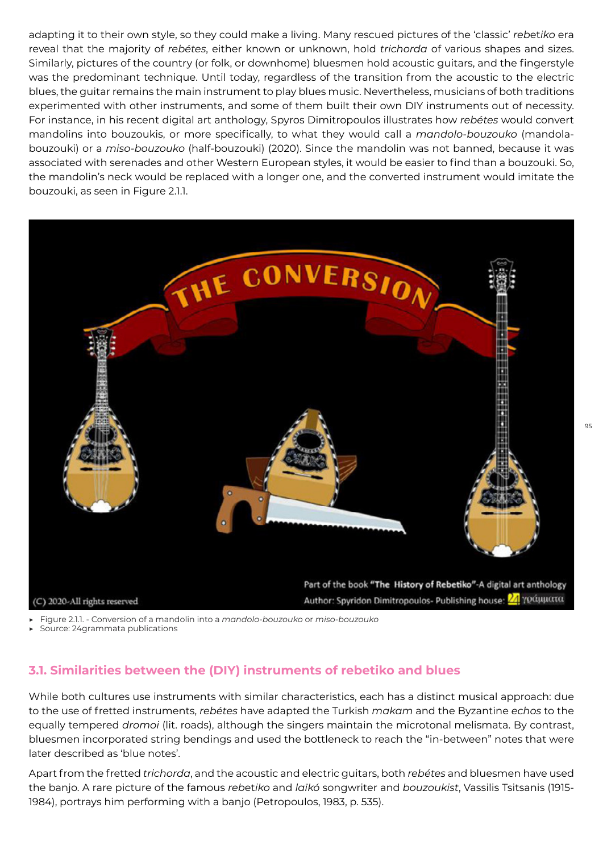adapting it to their own style, so they could make a living. Many rescued pictures of the 'classic' *reb*et*iko* era reveal that the majority of *rebétes*, either known or unknown, hold *trichorda* of various shapes and sizes. Similarly, pictures of the country (or folk, or downhome) bluesmen hold acoustic guitars, and the fingerstyle was the predominant technique. Until today, regardless of the transition from the acoustic to the electric blues, the guitar remains the main instrument to play blues music. Nevertheless, musicians of both traditions experimented with other instruments, and some of them built their own DIY instruments out of necessity. For instance, in his recent digital art anthology, Spyros Dimitropoulos illustrates how *rebétes* would convert mandolins into bouzoukis, or more specifically, to what they would call a *mandolo-bouzouko* (mandolabouzouki) or a *miso-bouzouko* (half-bouzouki) (2020). Since the mandolin was not banned, because it was associated with serenades and other Western European styles, it would be easier to find than a bouzouki. So, the mandolin's neck would be replaced with a longer one, and the converted instrument would imitate the bouzouki, as seen in Figure 2.1.1.



▶ Figure 2.1.1. - Conversion of a mandolin into a *mandolo-bouzouko* or *miso-bouzouko*

Source: 24grammata publications

### **3.1. Similarities between the (DIY) instruments of rebetiko and blues**

While both cultures use instruments with similar characteristics, each has a distinct musical approach: due to the use of fretted instruments, *rebétes* have adapted the Turkish *makam* and the Byzantine *echos* to the equally tempered *dromoi* (lit. roads), although the singers maintain the microtonal melismata. By contrast, bluesmen incorporated string bendings and used the bottleneck to reach the "in-between" notes that were later described as 'blue notes'.

Apart from the fretted *trichorda*, and the acoustic and electric guitars, both *rebétes* and bluesmen have used the banjo. A rare picture of the famous *reb*et*iko* and *laïkó* songwriter and *bouzoukist*, Vassilis Tsitsanis (1915- 1984), portrays him performing with a banjo (Petropoulos, 1983, p. 535).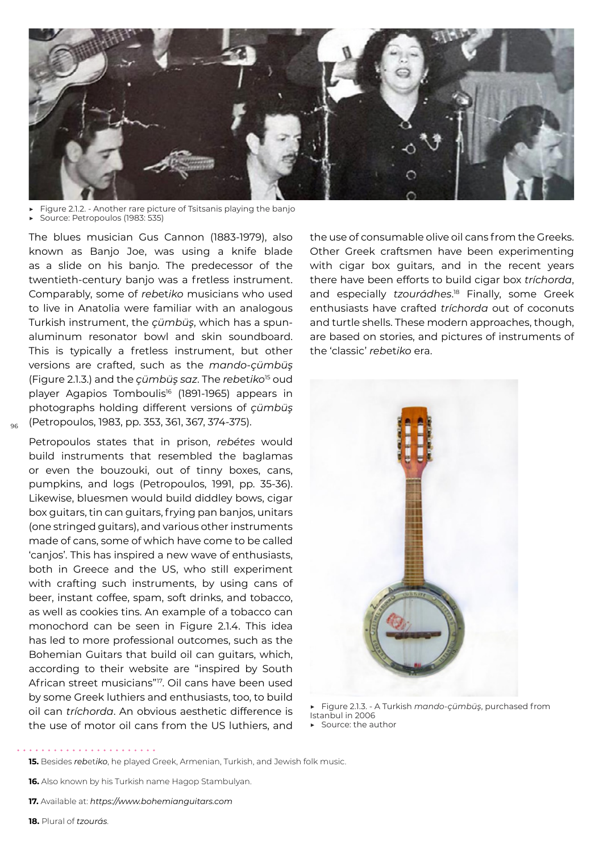

- ▶ Figure 2.1.2. Another rare picture of Tsitsanis playing the banjo
- Source: Petropoulos (1983: 535)

The blues musician Gus Cannon (1883-1979), also known as Banjo Joe, was using a knife blade as a slide on his banjo. The predecessor of the twentieth-century banjo was a fretless instrument. Comparably, some of *reb*et*iko* musicians who used to live in Anatolia were familiar with an analogous Turkish instrument, the *çümbüş*, which has a spunaluminum resonator bowl and skin soundboard. This is typically a fretless instrument, but other versions are crafted, such as the *mando-çümbüş* (Figure 2.1.3.) and the *çümbüş saz*. The *reb*et*iko*15 oud player Agapios Tomboulis<sup>16</sup> (1891-1965) appears in photographs holding different versions of *çümbüş*  (Petropoulos, 1983, pp. 353, 361, 367, 374-375).

96

Petropoulos states that in prison, *rebétes* would build instruments that resembled the baglamas or even the bouzouki, out of tinny boxes, cans, pumpkins, and logs (Petropoulos, 1991, pp. 35-36). Likewise, bluesmen would build diddley bows, cigar box guitars, tin can guitars, frying pan banjos, unitars (one stringed guitars), and various other instruments made of cans, some of which have come to be called 'canjos'. This has inspired a new wave of enthusiasts, both in Greece and the US, who still experiment with crafting such instruments, by using cans of beer, instant coffee, spam, soft drinks, and tobacco, as well as cookies tins. An example of a tobacco can monochord can be seen in Figure 2.1.4. This idea has led to more professional outcomes, such as the Bohemian Guitars that build oil can guitars, which, according to their website are "inspired by South African street musicians"17. Oil cans have been used by some Greek luthiers and enthusiasts, too, to build oil can *tríchorda*. An obvious aesthetic difference is the use of motor oil cans from the US luthiers, and the use of consumable olive oil cans from the Greeks. Other Greek craftsmen have been experimenting with cigar box guitars, and in the recent years there have been efforts to build cigar box *tríchorda*, and especially *tzourádhes*. 18 Finally, some Greek enthusiasts have crafted *tríchorda* out of coconuts and turtle shells. These modern approaches, though, are based on stories, and pictures of instruments of the 'classic' *reb*et*iko* era.



▶ Figure 2.1.3. - A Turkish *mando-çümbüş*, purchased from Istanbul in 2006

▶ Source: the author

**<sup>15.</sup>** Besides *reb*et*iko*, he played Greek, Armenian, Turkish, and Jewish folk music.

**<sup>16.</sup>** Also known by his Turkish name Hagop Stambulyan.

**<sup>17.</sup>** Available at: *https://www.bohemianguitars.com*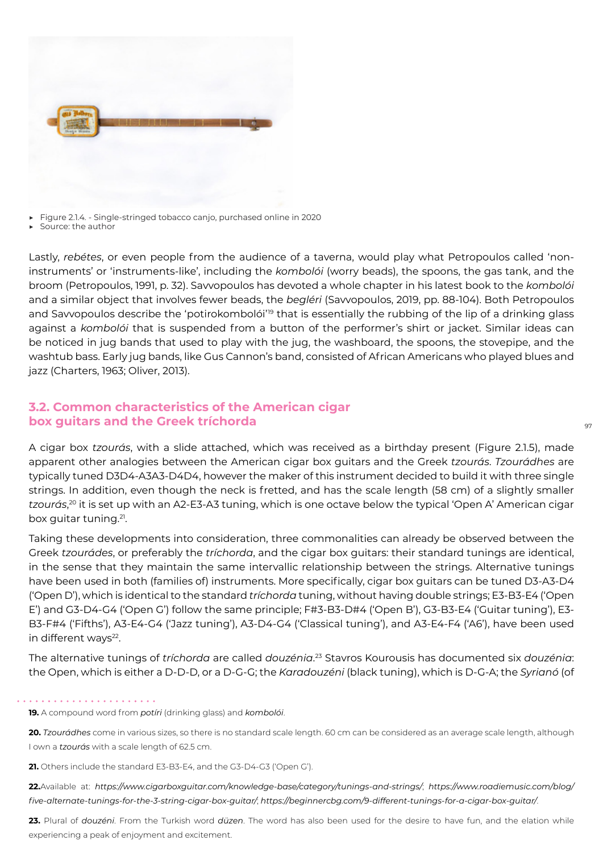

▶ Figure 2.1.4*.* - Single-stringed tobacco canjo, purchased online in 2020

Source: the author

Lastly, *rebétes*, or even people from the audience of a taverna, would play what Petropoulos called 'noninstruments' or 'instruments-like', including the *kombolói* (worry beads), the spoons, the gas tank, and the broom (Petropoulos, 1991, p. 32). Savvopoulos has devoted a whole chapter in his latest book to the *kombolói* and a similar object that involves fewer beads, the *begléri* (Savvopoulos, 2019, pp. 88-104). Both Petropoulos and Savvopoulos describe the 'potirokombolói'<sup>19</sup> that is essentially the rubbing of the lip of a drinking glass against a *kombolói* that is suspended from a button of the performer's shirt or jacket. Similar ideas can be noticed in jug bands that used to play with the jug, the washboard, the spoons, the stovepipe, and the washtub bass. Early jug bands, like Gus Cannon's band, consisted of African Americans who played blues and jazz (Charters, 1963; Oliver, 2013).

#### **3.2. Common characteristics of the American cigar box guitars and the Greek tríchorda**

A cigar box *tzourás*, with a slide attached, which was received as a birthday present (Figure 2.1.5), made apparent other analogies between the American cigar box guitars and the Greek *tzourás*. *Tzourádhes* are typically tuned D3D4-A3A3-D4D4, however the maker of this instrument decided to build it with three single strings. In addition, even though the neck is fretted, and has the scale length (58 cm) of a slightly smaller *tzourás*, 20 it is set up with an A2-E3-A3 tuning, which is one octave below the typical 'Open A' American cigar box guitar tuning.21.

Taking these developments into consideration, three commonalities can already be observed between the Greek *tzourádes*, or preferably the *tríchorda*, and the cigar box guitars: their standard tunings are identical, in the sense that they maintain the same intervallic relationship between the strings. Alternative tunings have been used in both (families of) instruments. More specifically, cigar box guitars can be tuned D3-A3-D4 ('Open D'), which is identical to the standard *tríchorda* tuning, without having double strings; E3-B3-E4 ('Open E') and G3-D4-G4 ('Open G') follow the same principle; F#3-B3-D#4 ('Open B'), G3-B3-E4 ('Guitar tuning'), E3- B3-F#4 ('Fifths'), A3-E4-G4 ('Jazz tuning'), A3-D4-G4 ('Classical tuning'), and A3-E4-F4 ('A6'), have been used in different ways<sup>22</sup>.

The alternative tunings of *tríchorda* are called *douzénia*. <sup>23</sup> Stavros Kourousis has documented six *douzénia*: the Open, which is either a D-D-D, or a D-G-G; the *Karadouzéni* (black tuning), which is D-G-A; the *Syrianó* (of

**19.** A compound word from *potíri* (drinking glass) and *kombolói*.

**21.** Others include the standard E3-B3-E4, and the G3-D4-G3 ('Open G').

**22.**Available at: *https://www.cigarboxguitar.com/knowledge-base/category/tunings-and-strings/*; *https://www.roadiemusic.com/blog/ five-alternate-tunings-for-the-3-string-cigar-box-guitar/*; *https://beginnercbg.com/9-different-tunings-for-a-cigar-box-guitar/*.

**23.** Plural of *douzéni*. From the Turkish word *düzen*. The word has also been used for the desire to have fun, and the elation while experiencing a peak of enjoyment and excitement.

97

**<sup>20.</sup>** *Tzourádhes* come in various sizes, so there is no standard scale length. 60 cm can be considered as an average scale length, although I own a *tzourás* with a scale length of 62.5 cm.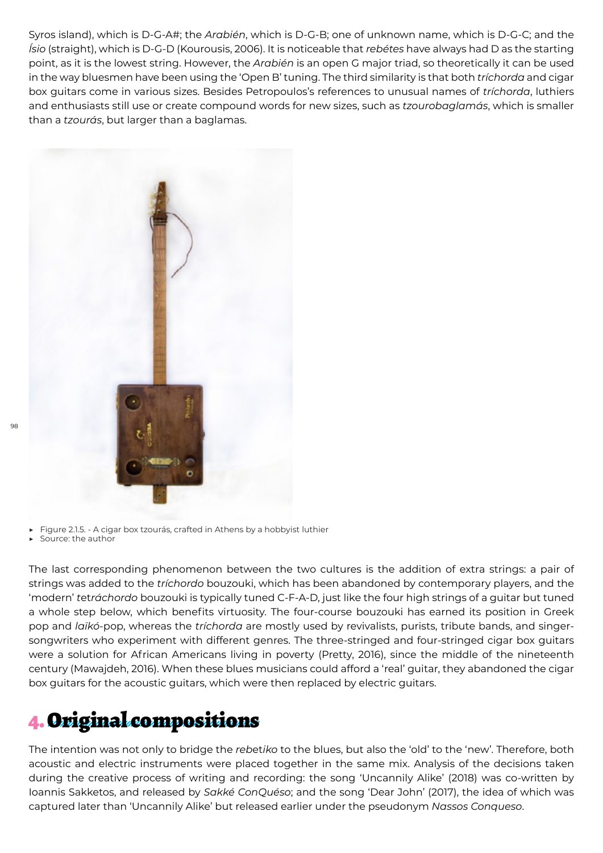Syros island), which is D-G-A#; the *Arabién*, which is D-G-B; one of unknown name, which is D-G-C; and the *Ísio* (straight), which is D-G-D (Kourousis, 2006). It is noticeable that *rebétes* have always had D as the starting point, as it is the lowest string. However, the *Arabién* is an open G major triad, so theoretically it can be used in the way bluesmen have been using the 'Open B' tuning. The third similarity is that both *tríchorda* and cigar box guitars come in various sizes. Besides Petropoulos's references to unusual names of *tríchorda*, luthiers and enthusiasts still use or create compound words for new sizes, such as *tzourobaglamás*, which is smaller than a *tzourás*, but larger than a baglamas.



Figure 2.1.5. - A cigar box tzourás, crafted in Athens by a hobbyist luthier

▶ Source: the author

The last corresponding phenomenon between the two cultures is the addition of extra strings: a pair of strings was added to the *tríchordo* bouzouki, which has been abandoned by contemporary players, and the 'modern' *t*et*ráchordo* bouzouki is typically tuned C-F-A-D, just like the four high strings of a guitar but tuned a whole step below, which benefits virtuosity. The four-course bouzouki has earned its position in Greek pop and *laïkó*-pop, whereas the *tríchorda* are mostly used by revivalists, purists, tribute bands, and singersongwriters who experiment with different genres. The three-stringed and four-stringed cigar box guitars were a solution for African Americans living in poverty (Pretty, 2016), since the middle of the nineteenth century (Mawajdeh, 2016). When these blues musicians could afford a 'real' guitar, they abandoned the cigar box guitars for the acoustic guitars, which were then replaced by electric guitars.

### 4. Original compositions

The intention was not only to bridge the *reb*et*iko* to the blues, but also the 'old' to the 'new'. Therefore, both acoustic and electric instruments were placed together in the same mix. Analysis of the decisions taken during the creative process of writing and recording: the song 'Uncannily Alike' (2018) was co-written by Ioannis Sakketos, and released by *Sakké ConQuéso*; and the song 'Dear John' (2017), the idea of which was captured later than 'Uncannily Alike' but released earlier under the pseudonym *Nassos Conqueso*.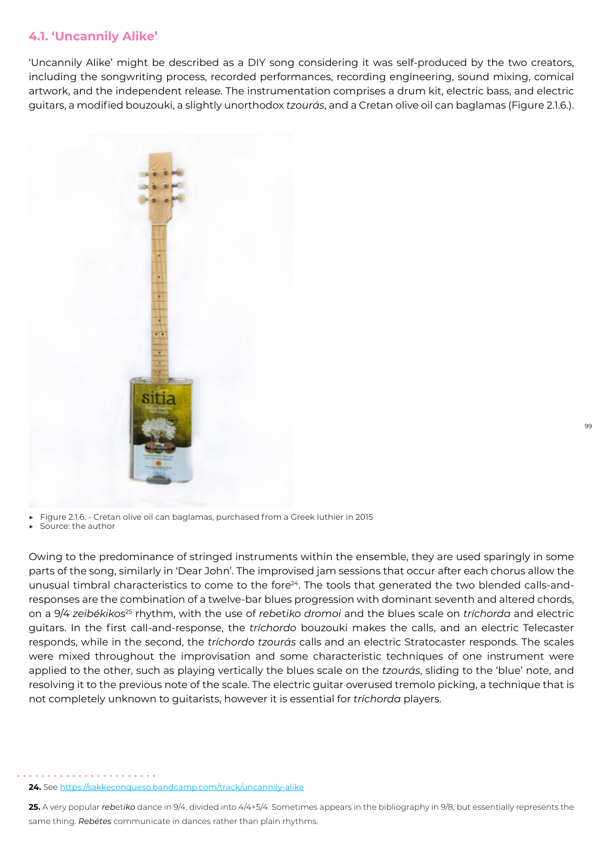#### **4.1. 'Uncannily Alike'**

'Uncannily Alike' might be described as a DIY song considering it was self-produced by the two creators, including the songwriting process, recorded performances, recording engineering, sound mixing, comical artwork, and the independent release. The instrumentation comprises a drum kit, electric bass, and electric guitars, a modified bouzouki, a slightly unorthodox *tzourás*, and a Cretan olive oil can baglamas (Figure 2.1.6.).



Figure 2.1.6. - Cretan olive oil can baglamas, purchased from a Greek luthier in 2015

Source: the author

Owing to the predominance of stringed instruments within the ensemble, they are used sparingly in some parts of the song, similarly in 'Dear John'. The improvised jam sessions that occur after each chorus allow the unusual timbral characteristics to come to the fore<sup>24</sup>. The tools that generated the two blended calls-andresponses are the combination of a twelve-bar blues progression with dominant seventh and altered chords, on a 9/4 *zeibékikos*25 rhythm, with the use of *reb*et*iko dromoi* and the blues scale on *tríchorda* and electric guitars. In the first call-and-response, the *tríchordo* bouzouki makes the calls, and an electric Telecaster responds, while in the second, the *tríchordo tzourás* calls and an electric Stratocaster responds. The scales were mixed throughout the improvisation and some characteristic techniques of one instrument were applied to the other, such as playing vertically the blues scale on the *tzourás*, sliding to the 'blue' note, and resolving it to the previous note of the scale. The electric guitar overused tremolo picking, a technique that is not completely unknown to guitarists, however it is essential for *tríchorda* players.

**<sup>24.</sup>** See https://sakkeconqueso.bandcamp.com/track/uncannily-alike

**<sup>25.</sup>** A very popular *reb*et*iko* dance in 9/4, divided into 4/4+5/4. Sometimes appears in the bibliography in 9/8, but essentially represents the same thing. *Rebétes* communicate in dances rather than plain rhythms.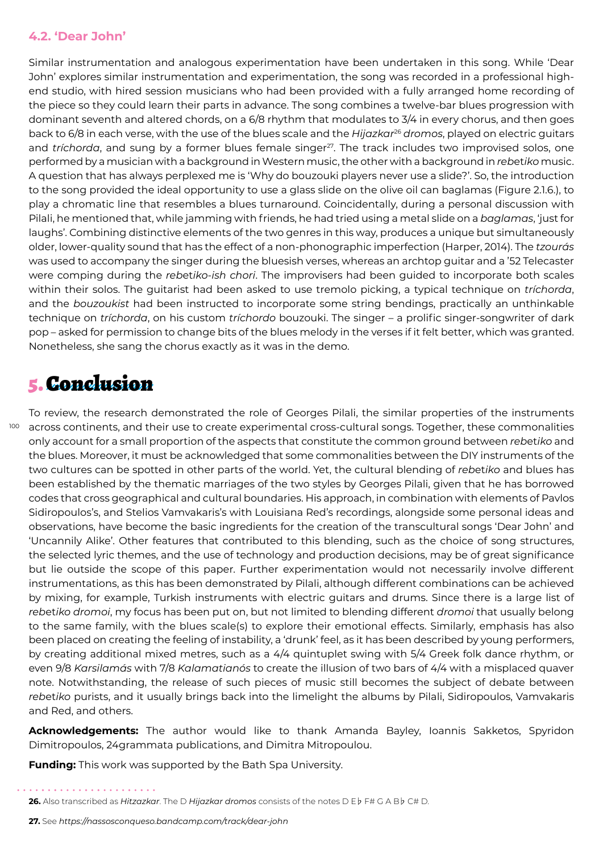#### **4.2. 'Dear John'**

Similar instrumentation and analogous experimentation have been undertaken in this song. While 'Dear John' explores similar instrumentation and experimentation, the song was recorded in a professional highend studio, with hired session musicians who had been provided with a fully arranged home recording of the piece so they could learn their parts in advance. The song combines a twelve-bar blues progression with dominant seventh and altered chords, on a 6/8 rhythm that modulates to 3/4 in every chorus, and then goes back to 6/8 in each verse, with the use of the blues scale and the *Hijazkar*26 *dromos*, played on electric guitars and *tríchorda*, and sung by a former blues female singer<sup>27</sup>. The track includes two improvised solos, one performed by a musician with a background in Western music, the other with a background in *reb*et*iko* music. A question that has always perplexed me is 'Why do bouzouki players never use a slide?'. So, the introduction to the song provided the ideal opportunity to use a glass slide on the olive oil can baglamas (Figure 2.1.6.), to play a chromatic line that resembles a blues turnaround. Coincidentally, during a personal discussion with Pilali, he mentioned that, while jamming with friends, he had tried using a metal slide on a *baglamas*, 'just for laughs'. Combining distinctive elements of the two genres in this way, produces a unique but simultaneously older, lower-quality sound that has the effect of a non-phonographic imperfection (Harper, 2014). The *tzourás* was used to accompany the singer during the bluesish verses, whereas an archtop guitar and a '52 Telecaster were comping during the *reb*et*iko*-*ish chori*. The improvisers had been guided to incorporate both scales within their solos. The guitarist had been asked to use tremolo picking, a typical technique on *tríchorda*, and the *bouzoukist* had been instructed to incorporate some string bendings, practically an unthinkable technique on *tríchorda*, on his custom *tríchordo* bouzouki. The singer – a prolific singer-songwriter of dark pop – asked for permission to change bits of the blues melody in the verses if it felt better, which was granted. Nonetheless, she sang the chorus exactly as it was in the demo.

### 5. Conclusion

 $^{100}$  across continents, and their use to create experimental cross-cultural songs. Together, these commonalities To review, the research demonstrated the role of Georges Pilali, the similar properties of the instruments only account for a small proportion of the aspects that constitute the common ground between *reb*et*iko* and the blues. Moreover, it must be acknowledged that some commonalities between the DIY instruments of the two cultures can be spotted in other parts of the world. Yet, the cultural blending of *reb*et*iko* and blues has been established by the thematic marriages of the two styles by Georges Pilali, given that he has borrowed codes that cross geographical and cultural boundaries. His approach, in combination with elements of Pavlos Sidiropoulos's, and Stelios Vamvakaris's with Louisiana Red's recordings, alongside some personal ideas and observations, have become the basic ingredients for the creation of the transcultural songs 'Dear John' and 'Uncannily Alike'. Other features that contributed to this blending, such as the choice of song structures, the selected lyric themes, and the use of technology and production decisions, may be of great significance but lie outside the scope of this paper. Further experimentation would not necessarily involve different instrumentations, as this has been demonstrated by Pilali, although different combinations can be achieved by mixing, for example, Turkish instruments with electric guitars and drums. Since there is a large list of *reb*et*iko dromoi*, my focus has been put on, but not limited to blending different *dromoi* that usually belong to the same family, with the blues scale(s) to explore their emotional effects. Similarly, emphasis has also been placed on creating the feeling of instability, a 'drunk' feel, as it has been described by young performers, by creating additional mixed metres, such as a 4/4 quintuplet swing with 5/4 Greek folk dance rhythm, or even 9/8 *Karsilamás* with 7/8 *Kalamatianós* to create the illusion of two bars of 4/4 with a misplaced quaver note. Notwithstanding, the release of such pieces of music still becomes the subject of debate between *reb*et*iko* purists, and it usually brings back into the limelight the albums by Pilali, Sidiropoulos, Vamvakaris and Red, and others.

**Acknowledgements:** The author would like to thank Amanda Bayley, Ioannis Sakketos, Spyridon Dimitropoulos, 24grammata publications, and Dimitra Mitropoulou.

**Funding:** This work was supported by the Bath Spa University.

**<sup>26.</sup>** Also transcribed as *Hitzazkar*. The D *Hijazkar dromos* consists of the notes D E♭ F# G A B♭ C# D.